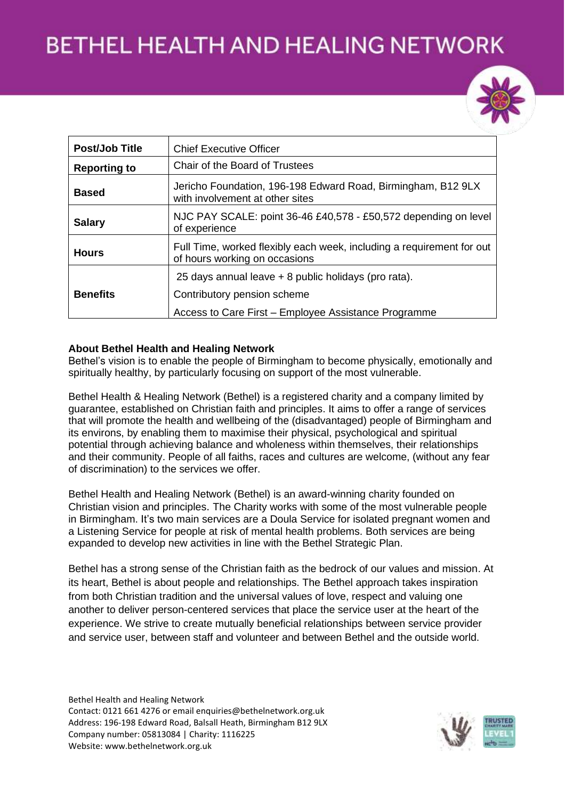

| <b>Post/Job Title</b> | <b>Chief Executive Officer</b>                                                                                                              |  |  |
|-----------------------|---------------------------------------------------------------------------------------------------------------------------------------------|--|--|
| <b>Reporting to</b>   | Chair of the Board of Trustees                                                                                                              |  |  |
| <b>Based</b>          | Jericho Foundation, 196-198 Edward Road, Birmingham, B12 9LX<br>with involvement at other sites                                             |  |  |
| <b>Salary</b>         | NJC PAY SCALE: point 36-46 £40,578 - £50,572 depending on level<br>of experience                                                            |  |  |
| <b>Hours</b>          | Full Time, worked flexibly each week, including a requirement for out<br>of hours working on occasions                                      |  |  |
| <b>Benefits</b>       | 25 days annual leave + 8 public holidays (pro rata).<br>Contributory pension scheme<br>Access to Care First - Employee Assistance Programme |  |  |

#### **About Bethel Health and Healing Network**

Bethel's vision is to enable the people of Birmingham to become physically, emotionally and spiritually healthy, by particularly focusing on support of the most vulnerable.

Bethel Health & Healing Network (Bethel) is a registered charity and a company limited by guarantee, established on Christian faith and principles. It aims to offer a range of services that will promote the health and wellbeing of the (disadvantaged) people of Birmingham and its environs, by enabling them to maximise their physical, psychological and spiritual potential through achieving balance and wholeness within themselves, their relationships and their community. People of all faiths, races and cultures are welcome, (without any fear of discrimination) to the services we offer.

Bethel Health and Healing Network (Bethel) is an award-winning charity founded on Christian vision and principles. The Charity works with some of the most vulnerable people in Birmingham. It's two main services are a Doula Service for isolated pregnant women and a Listening Service for people at risk of mental health problems. Both services are being expanded to develop new activities in line with the Bethel Strategic Plan.

Bethel has a strong sense of the Christian faith as the bedrock of our values and mission. At its heart, Bethel is about people and relationships. The Bethel approach takes inspiration from both Christian tradition and the universal values of love, respect and valuing one another to deliver person-centered services that place the service user at the heart of the experience. We strive to create mutually beneficial relationships between service provider and service user, between staff and volunteer and between Bethel and the outside world.

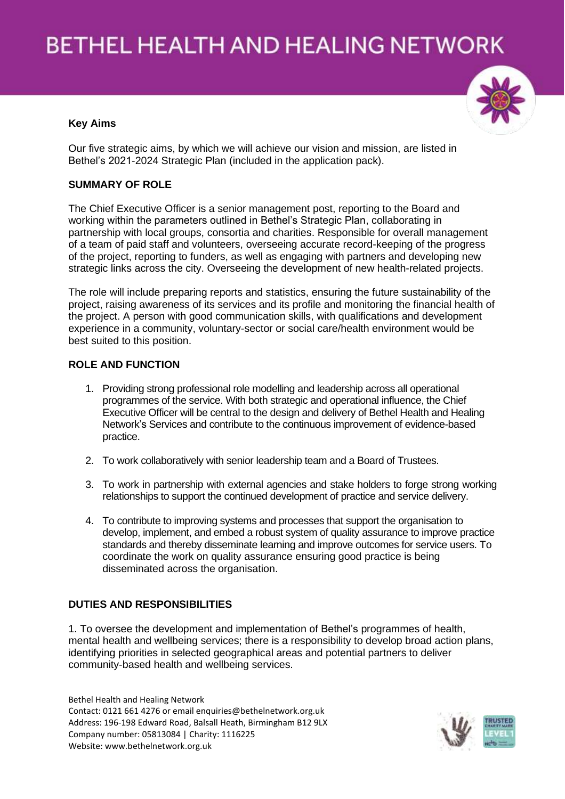#### **Key Aims**

Our five strategic aims, by which we will achieve our vision and mission, are listed in Bethel's 2021-2024 Strategic Plan (included in the application pack).

#### **SUMMARY OF ROLE**

The Chief Executive Officer is a senior management post, reporting to the Board and working within the parameters outlined in Bethel's Strategic Plan, collaborating in partnership with local groups, consortia and charities. Responsible for overall management of a team of paid staff and volunteers, overseeing accurate record-keeping of the progress of the project, reporting to funders, as well as engaging with partners and developing new strategic links across the city. Overseeing the development of new health-related projects.

The role will include preparing reports and statistics, ensuring the future sustainability of the project, raising awareness of its services and its profile and monitoring the financial health of the project. A person with good communication skills, with qualifications and development experience in a community, voluntary-sector or social care/health environment would be best suited to this position.

#### **ROLE AND FUNCTION**

- 1. Providing strong professional role modelling and leadership across all operational programmes of the service. With both strategic and operational influence, the Chief Executive Officer will be central to the design and delivery of Bethel Health and Healing Network's Services and contribute to the continuous improvement of evidence-based practice.
- 2. To work collaboratively with senior leadership team and a Board of Trustees.
- 3. To work in partnership with external agencies and stake holders to forge strong working relationships to support the continued development of practice and service delivery.
- 4. To contribute to improving systems and processes that support the organisation to develop, implement, and embed a robust system of quality assurance to improve practice standards and thereby disseminate learning and improve outcomes for service users. To coordinate the work on quality assurance ensuring good practice is being disseminated across the organisation.

#### **DUTIES AND RESPONSIBILITIES**

1. To oversee the development and implementation of Bethel's programmes of health, mental health and wellbeing services; there is a responsibility to develop broad action plans, identifying priorities in selected geographical areas and potential partners to deliver community-based health and wellbeing services.



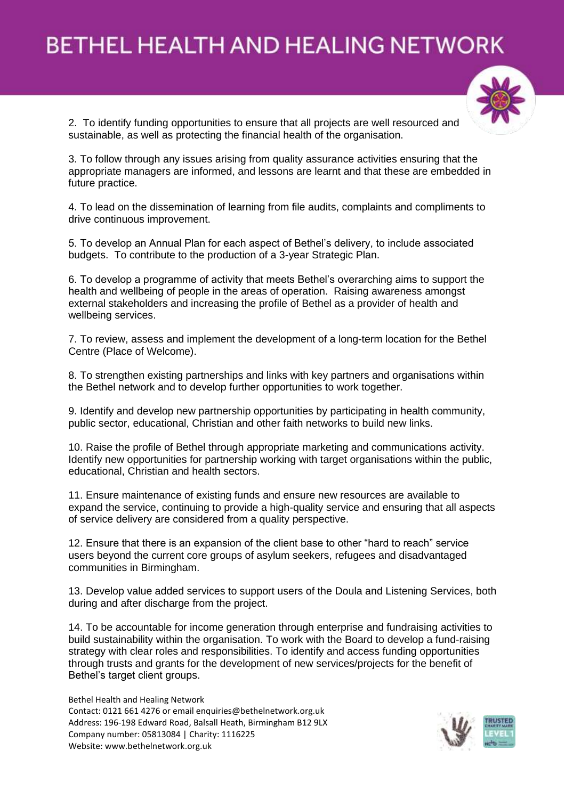

2. To identify funding opportunities to ensure that all projects are well resourced and sustainable, as well as protecting the financial health of the organisation.

3. To follow through any issues arising from quality assurance activities ensuring that the appropriate managers are informed, and lessons are learnt and that these are embedded in future practice.

4. To lead on the dissemination of learning from file audits, complaints and compliments to drive continuous improvement.

5. To develop an Annual Plan for each aspect of Bethel's delivery, to include associated budgets. To contribute to the production of a 3-year Strategic Plan.

6. To develop a programme of activity that meets Bethel's overarching aims to support the health and wellbeing of people in the areas of operation. Raising awareness amongst external stakeholders and increasing the profile of Bethel as a provider of health and wellbeing services.

7. To review, assess and implement the development of a long-term location for the Bethel Centre (Place of Welcome).

8. To strengthen existing partnerships and links with key partners and organisations within the Bethel network and to develop further opportunities to work together.

9. Identify and develop new partnership opportunities by participating in health community, public sector, educational, Christian and other faith networks to build new links.

10. Raise the profile of Bethel through appropriate marketing and communications activity. Identify new opportunities for partnership working with target organisations within the public, educational, Christian and health sectors.

11. Ensure maintenance of existing funds and ensure new resources are available to expand the service, continuing to provide a high-quality service and ensuring that all aspects of service delivery are considered from a quality perspective.

12. Ensure that there is an expansion of the client base to other "hard to reach" service users beyond the current core groups of asylum seekers, refugees and disadvantaged communities in Birmingham.

13. Develop value added services to support users of the Doula and Listening Services, both during and after discharge from the project.

14. To be accountable for income generation through enterprise and fundraising activities to build sustainability within the organisation. To work with the Board to develop a fund-raising strategy with clear roles and responsibilities. To identify and access funding opportunities through trusts and grants for the development of new services/projects for the benefit of Bethel's target client groups.

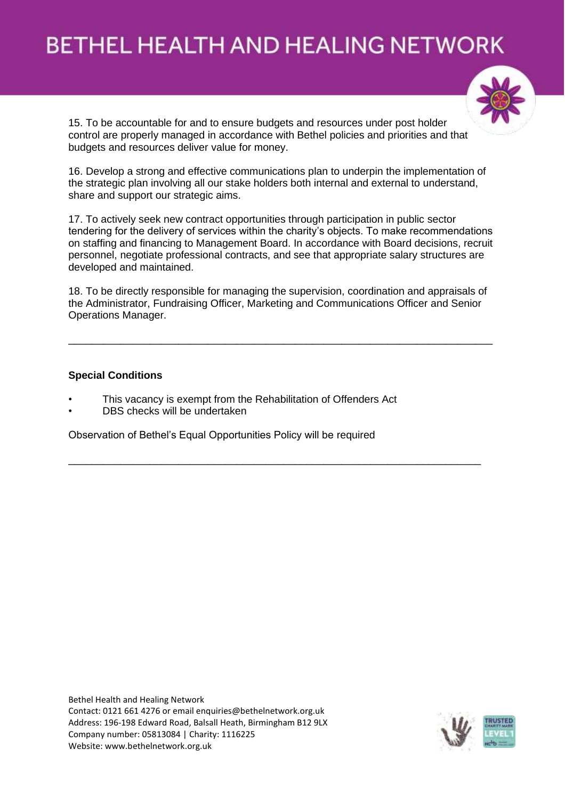

15. To be accountable for and to ensure budgets and resources under post holder control are properly managed in accordance with Bethel policies and priorities and that budgets and resources deliver value for money.

16. Develop a strong and effective communications plan to underpin the implementation of the strategic plan involving all our stake holders both internal and external to understand, share and support our strategic aims.

17. To actively seek new contract opportunities through participation in public sector tendering for the delivery of services within the charity's objects. To make recommendations on staffing and financing to Management Board. In accordance with Board decisions, recruit personnel, negotiate professional contracts, and see that appropriate salary structures are developed and maintained.

18. To be directly responsible for managing the supervision, coordination and appraisals of the Administrator, Fundraising Officer, Marketing and Communications Officer and Senior Operations Manager.

\_\_\_\_\_\_\_\_\_\_\_\_\_\_\_\_\_\_\_\_\_\_\_\_\_\_\_\_\_\_\_\_\_\_\_\_\_\_\_\_\_\_\_\_\_\_\_\_\_\_\_\_\_\_\_\_\_\_\_\_\_\_\_\_\_\_\_\_\_\_\_\_\_

\_\_\_\_\_\_\_\_\_\_\_\_\_\_\_\_\_\_\_\_\_\_\_\_\_\_\_\_\_\_\_\_\_\_\_\_\_\_\_\_\_\_\_\_\_\_\_\_\_\_\_\_\_\_\_\_\_\_\_\_\_\_\_\_\_\_\_\_\_\_\_

#### **Special Conditions**

- This vacancy is exempt from the Rehabilitation of Offenders Act
- DBS checks will be undertaken

Observation of Bethel's Equal Opportunities Policy will be required

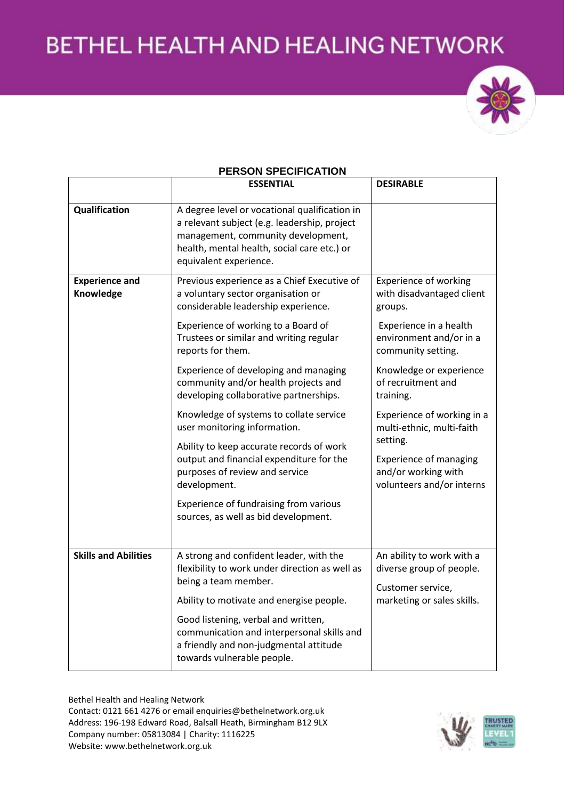

### **PERSON SPECIFICATION**

|                                    | <b>ESSENTIAL</b>                                                                                                                                                                                             | <b>DESIRABLE</b>                                                                              |
|------------------------------------|--------------------------------------------------------------------------------------------------------------------------------------------------------------------------------------------------------------|-----------------------------------------------------------------------------------------------|
| Qualification                      | A degree level or vocational qualification in<br>a relevant subject (e.g. leadership, project<br>management, community development,<br>health, mental health, social care etc.) or<br>equivalent experience. |                                                                                               |
| <b>Experience and</b><br>Knowledge | Previous experience as a Chief Executive of<br>a voluntary sector organisation or<br>considerable leadership experience.                                                                                     | <b>Experience of working</b><br>with disadvantaged client<br>groups.                          |
|                                    | Experience of working to a Board of<br>Trustees or similar and writing regular<br>reports for them.                                                                                                          | Experience in a health<br>environment and/or in a<br>community setting.                       |
|                                    | Experience of developing and managing<br>community and/or health projects and<br>developing collaborative partnerships.                                                                                      | Knowledge or experience<br>of recruitment and<br>training.                                    |
|                                    | Knowledge of systems to collate service<br>user monitoring information.                                                                                                                                      | Experience of working in a<br>multi-ethnic, multi-faith                                       |
|                                    | Ability to keep accurate records of work<br>output and financial expenditure for the<br>purposes of review and service<br>development.                                                                       | setting.<br><b>Experience of managing</b><br>and/or working with<br>volunteers and/or interns |
|                                    | Experience of fundraising from various<br>sources, as well as bid development.                                                                                                                               |                                                                                               |
| <b>Skills and Abilities</b>        | A strong and confident leader, with the<br>flexibility to work under direction as well as<br>being a team member.                                                                                            | An ability to work with a<br>diverse group of people.<br>Customer service,                    |
|                                    | Ability to motivate and energise people.                                                                                                                                                                     | marketing or sales skills.                                                                    |
|                                    | Good listening, verbal and written,<br>communication and interpersonal skills and<br>a friendly and non-judgmental attitude<br>towards vulnerable people.                                                    |                                                                                               |